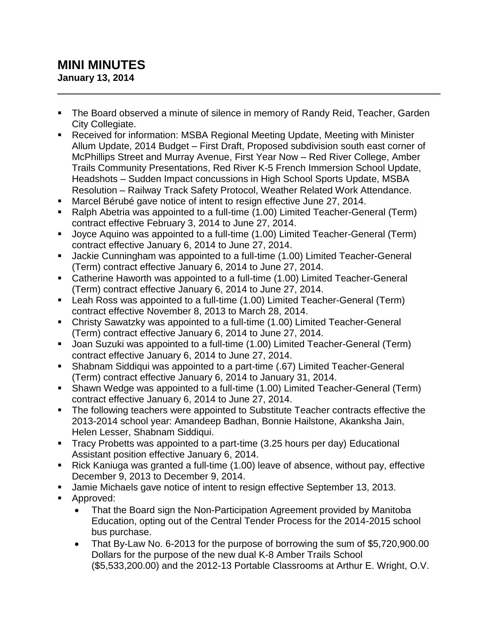## **MINI MINUTES January 13, 2014**

- The Board observed a minute of silence in memory of Randy Reid, Teacher, Garden City Collegiate.
- Received for information: MSBA Regional Meeting Update, Meeting with Minister Allum Update, 2014 Budget – First Draft, Proposed subdivision south east corner of McPhillips Street and Murray Avenue, First Year Now – Red River College, Amber Trails Community Presentations, Red River K-5 French Immersion School Update, Headshots – Sudden Impact concussions in High School Sports Update, MSBA Resolution – Railway Track Safety Protocol, Weather Related Work Attendance.
- Marcel Bérubé gave notice of intent to resign effective June 27, 2014.
- Ralph Abetria was appointed to a full-time (1.00) Limited Teacher-General (Term) contract effective February 3, 2014 to June 27, 2014.
- Joyce Aquino was appointed to a full-time (1.00) Limited Teacher-General (Term) contract effective January 6, 2014 to June 27, 2014.
- Jackie Cunningham was appointed to a full-time (1.00) Limited Teacher-General (Term) contract effective January 6, 2014 to June 27, 2014.
- Catherine Haworth was appointed to a full-time (1.00) Limited Teacher-General (Term) contract effective January 6, 2014 to June 27, 2014.
- Leah Ross was appointed to a full-time (1.00) Limited Teacher-General (Term) contract effective November 8, 2013 to March 28, 2014.
- Christy Sawatzky was appointed to a full-time (1.00) Limited Teacher-General (Term) contract effective January 6, 2014 to June 27, 2014.
- Joan Suzuki was appointed to a full-time (1.00) Limited Teacher-General (Term) contract effective January 6, 2014 to June 27, 2014.
- Shabnam Siddiqui was appointed to a part-time (.67) Limited Teacher-General (Term) contract effective January 6, 2014 to January 31, 2014.
- Shawn Wedge was appointed to a full-time (1.00) Limited Teacher-General (Term) contract effective January 6, 2014 to June 27, 2014.
- The following teachers were appointed to Substitute Teacher contracts effective the 2013-2014 school year: Amandeep Badhan, Bonnie Hailstone, Akanksha Jain, Helen Lesser, Shabnam Siddiqui.
- Tracy Probetts was appointed to a part-time (3.25 hours per day) Educational Assistant position effective January 6, 2014.
- Rick Kaniuga was granted a full-time (1.00) leave of absence, without pay, effective December 9, 2013 to December 9, 2014.
- Jamie Michaels gave notice of intent to resign effective September 13, 2013.
- Approved:
	- That the Board sign the Non-Participation Agreement provided by Manitoba Education, opting out of the Central Tender Process for the 2014-2015 school bus purchase.
	- That By-Law No. 6-2013 for the purpose of borrowing the sum of \$5,720,900.00 Dollars for the purpose of the new dual K-8 Amber Trails School (\$5,533,200.00) and the 2012-13 Portable Classrooms at Arthur E. Wright, O.V.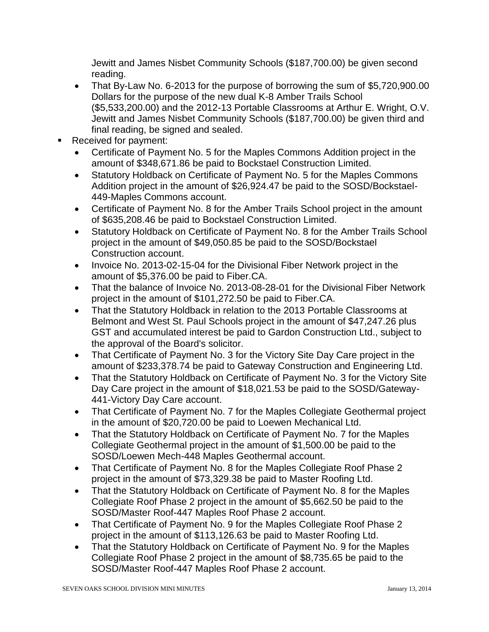Jewitt and James Nisbet Community Schools (\$187,700.00) be given second reading.

- That By-Law No. 6-2013 for the purpose of borrowing the sum of \$5,720,900.00 Dollars for the purpose of the new dual K-8 Amber Trails School (\$5,533,200.00) and the 2012-13 Portable Classrooms at Arthur E. Wright, O.V. Jewitt and James Nisbet Community Schools (\$187,700.00) be given third and final reading, be signed and sealed.
- Received for payment:
	- Certificate of Payment No. 5 for the Maples Commons Addition project in the amount of \$348,671.86 be paid to Bockstael Construction Limited.
	- Statutory Holdback on Certificate of Payment No. 5 for the Maples Commons Addition project in the amount of \$26,924.47 be paid to the SOSD/Bockstael-449-Maples Commons account.
	- Certificate of Payment No. 8 for the Amber Trails School project in the amount of \$635,208.46 be paid to Bockstael Construction Limited.
	- Statutory Holdback on Certificate of Payment No. 8 for the Amber Trails School project in the amount of \$49,050.85 be paid to the SOSD/Bockstael Construction account.
	- Invoice No. 2013-02-15-04 for the Divisional Fiber Network project in the amount of \$5,376.00 be paid to Fiber.CA.
	- That the balance of Invoice No. 2013-08-28-01 for the Divisional Fiber Network project in the amount of \$101,272.50 be paid to Fiber.CA.
	- That the Statutory Holdback in relation to the 2013 Portable Classrooms at Belmont and West St. Paul Schools project in the amount of \$47,247.26 plus GST and accumulated interest be paid to Gardon Construction Ltd., subject to the approval of the Board's solicitor.
	- That Certificate of Payment No. 3 for the Victory Site Day Care project in the amount of \$233,378.74 be paid to Gateway Construction and Engineering Ltd.
	- That the Statutory Holdback on Certificate of Payment No. 3 for the Victory Site Day Care project in the amount of \$18,021.53 be paid to the SOSD/Gateway-441-Victory Day Care account.
	- That Certificate of Payment No. 7 for the Maples Collegiate Geothermal project in the amount of \$20,720.00 be paid to Loewen Mechanical Ltd.
	- That the Statutory Holdback on Certificate of Payment No. 7 for the Maples Collegiate Geothermal project in the amount of \$1,500.00 be paid to the SOSD/Loewen Mech-448 Maples Geothermal account.
	- That Certificate of Payment No. 8 for the Maples Collegiate Roof Phase 2 project in the amount of \$73,329.38 be paid to Master Roofing Ltd.
	- That the Statutory Holdback on Certificate of Payment No. 8 for the Maples Collegiate Roof Phase 2 project in the amount of \$5,662.50 be paid to the SOSD/Master Roof-447 Maples Roof Phase 2 account.
	- That Certificate of Payment No. 9 for the Maples Collegiate Roof Phase 2 project in the amount of \$113,126.63 be paid to Master Roofing Ltd.
	- That the Statutory Holdback on Certificate of Payment No. 9 for the Maples Collegiate Roof Phase 2 project in the amount of \$8,735.65 be paid to the SOSD/Master Roof-447 Maples Roof Phase 2 account.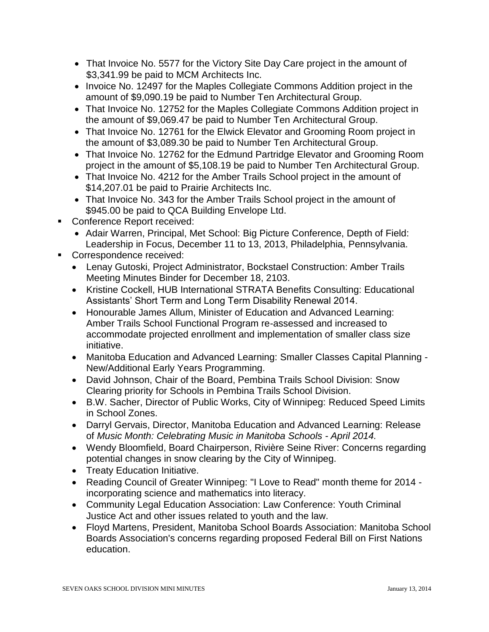- That Invoice No. 5577 for the Victory Site Day Care project in the amount of \$3,341.99 be paid to MCM Architects Inc.
- Invoice No. 12497 for the Maples Collegiate Commons Addition project in the amount of \$9,090.19 be paid to Number Ten Architectural Group.
- That Invoice No. 12752 for the Maples Collegiate Commons Addition project in the amount of \$9,069.47 be paid to Number Ten Architectural Group.
- That Invoice No. 12761 for the Elwick Elevator and Grooming Room project in the amount of \$3,089.30 be paid to Number Ten Architectural Group.
- That Invoice No. 12762 for the Edmund Partridge Elevator and Grooming Room project in the amount of \$5,108.19 be paid to Number Ten Architectural Group.
- That Invoice No. 4212 for the Amber Trails School project in the amount of \$14,207.01 be paid to Prairie Architects Inc.
- That Invoice No. 343 for the Amber Trails School project in the amount of \$945.00 be paid to QCA Building Envelope Ltd.
- **Conference Report received:** 
	- Adair Warren, Principal, Met School: Big Picture Conference, Depth of Field: Leadership in Focus, December 11 to 13, 2013, Philadelphia, Pennsylvania.
- Correspondence received:
	- Lenay Gutoski, Project Administrator, Bockstael Construction: Amber Trails Meeting Minutes Binder for December 18, 2103.
	- Kristine Cockell, HUB International STRATA Benefits Consulting: Educational Assistants' Short Term and Long Term Disability Renewal 2014.
	- Honourable James Allum, Minister of Education and Advanced Learning: Amber Trails School Functional Program re-assessed and increased to accommodate projected enrollment and implementation of smaller class size initiative.
	- Manitoba Education and Advanced Learning: Smaller Classes Capital Planning New/Additional Early Years Programming.
	- David Johnson, Chair of the Board, Pembina Trails School Division: Snow Clearing priority for Schools in Pembina Trails School Division.
	- B.W. Sacher, Director of Public Works, City of Winnipeg: Reduced Speed Limits in School Zones.
	- Darryl Gervais, Director, Manitoba Education and Advanced Learning: Release of *Music Month: Celebrating Music in Manitoba Schools - April 2014.*
	- Wendy Bloomfield, Board Chairperson, Rivière Seine River: Concerns regarding potential changes in snow clearing by the City of Winnipeg.
	- Treaty Education Initiative.
	- Reading Council of Greater Winnipeg: "I Love to Read" month theme for 2014 incorporating science and mathematics into literacy.
	- Community Legal Education Association: Law Conference: Youth Criminal Justice Act and other issues related to youth and the law.
	- Floyd Martens, President, Manitoba School Boards Association: Manitoba School Boards Association's concerns regarding proposed Federal Bill on First Nations education.